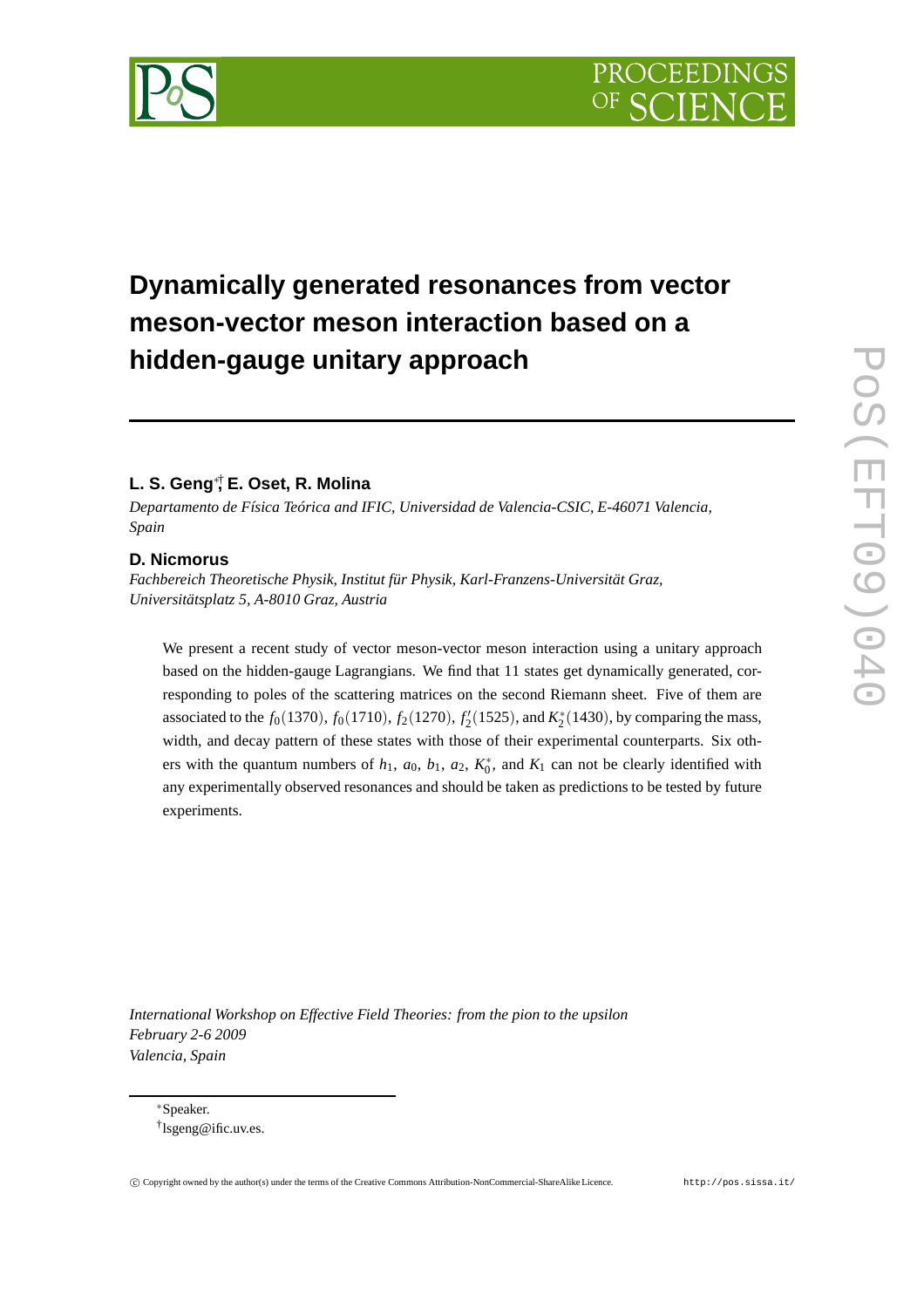

# **Dynamically generated resonances from vector meson-vector meson interaction based on a hidden-gauge unitary approach**

## **L. S. Geng**∗† **, E. Oset, R. Molina**

*Departamento de Física Teórica and IFIC, Universidad de Valencia-CSIC, E-46071 Valencia, Spain*

#### **D. Nicmorus**

*Fachbereich Theoretische Physik, Institut für Physik, Karl-Franzens-Universität Graz, Universitätsplatz 5, A-8010 Graz, Austria*

We present a recent study of vector meson-vector meson interaction using a unitary approach based on the hidden-gauge Lagrangians. We find that 11 states get dynamically generated, corresponding to poles of the scattering matrices on the second Riemann sheet. Five of them are associated to the  $f_0(1370)$ ,  $f_0(1710)$ ,  $f_2(1270)$ ,  $f'_2(1525)$ , and  $K_2^*(1430)$ , by comparing the mass, width, and decay pattern of these states with those of their experimental counterparts. Six others with the quantum numbers of  $h_1$ ,  $a_0$ ,  $b_1$ ,  $a_2$ ,  $K_0^*$ , and  $K_1$  can not be clearly identified with any experimentally observed resonances and should be taken as predictions to be tested by future experiments.

*International Workshop on Effective Field Theories: from the pion to the upsilon February 2-6 2009 Valencia, Spain*

<sup>∗</sup>Speaker. † lsgeng@ific.uv.es.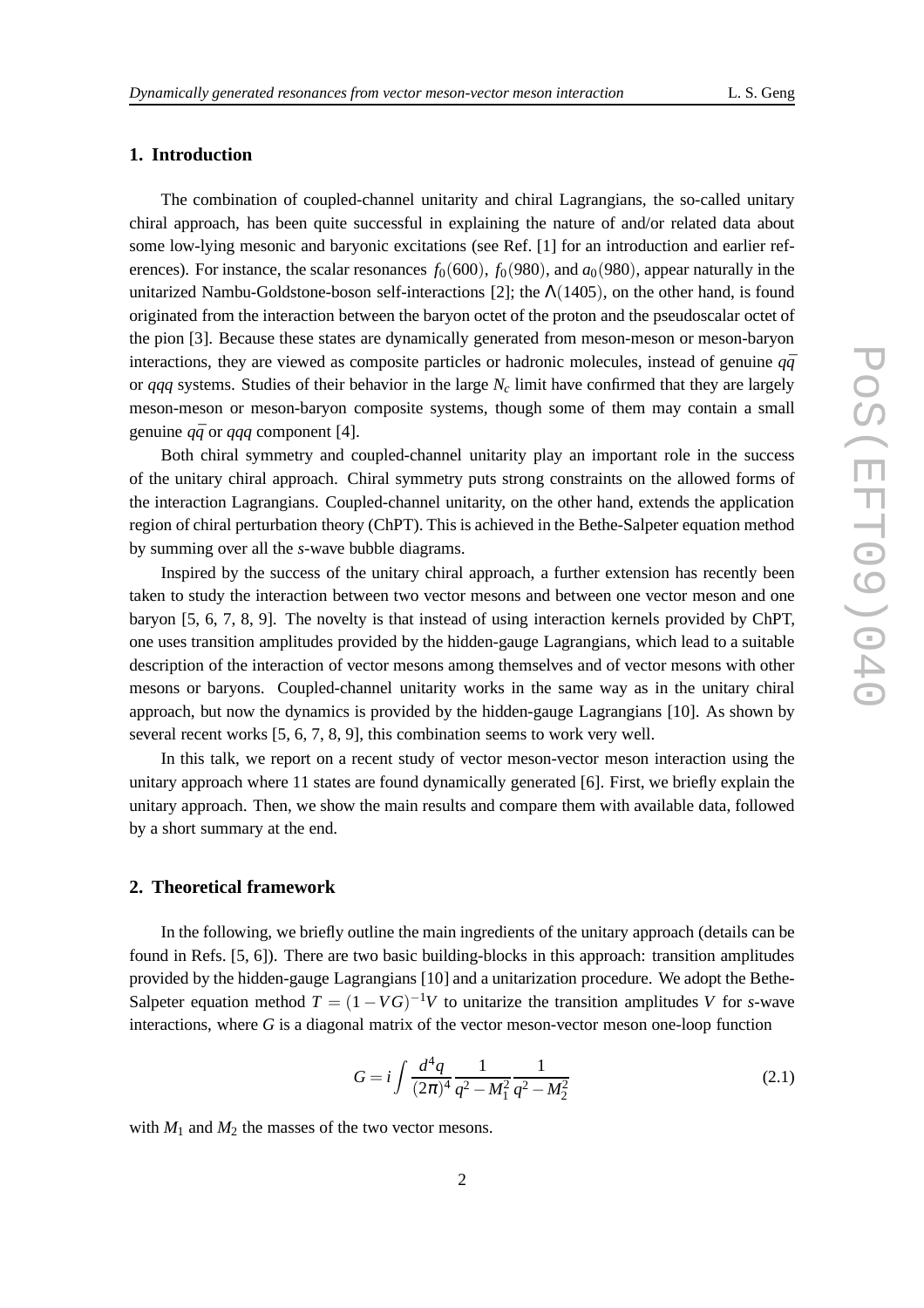### **1. Introduction**

The combination of coupled-channel unitarity and chiral Lagrangians, the so-called unitary chiral approach, has been quite successful in explaining the nature of and/or related data about some low-lying mesonic and baryonic excitations (see Ref. [1] for an introduction and earlier references). For instance, the scalar resonances  $f_0(600)$ ,  $f_0(980)$ , and  $a_0(980)$ , appear naturally in the unitarized Nambu-Goldstone-boson self-interactions [2]; the  $\Lambda(1405)$ , on the other hand, is found originated from the interaction between the baryon octet of the proton and the pseudoscalar octet of the pion [3]. Because these states are dynamically generated from meson-meson or meson-baryon interactions, they are viewed as composite particles or hadronic molecules, instead of genuine  $q\bar{q}$ or *qqq* systems. Studies of their behavior in the large *N<sup>c</sup>* limit have confirmed that they are largely meson-meson or meson-baryon composite systems, though some of them may contain a small genuine  $q\bar{q}$  or  $qqq$  component [4].

Both chiral symmetry and coupled-channel unitarity play an important role in the success of the unitary chiral approach. Chiral symmetry puts strong constraints on the allowed forms of the interaction Lagrangians. Coupled-channel unitarity, on the other hand, extends the application region of chiral perturbation theory (ChPT). This is achieved in the Bethe-Salpeter equation method by summing over all the *s*-wave bubble diagrams.

Inspired by the success of the unitary chiral approach, a further extension has recently been taken to study the interaction between two vector mesons and between one vector meson and one baryon [5, 6, 7, 8, 9]. The novelty is that instead of using interaction kernels provided by ChPT, one uses transition amplitudes provided by the hidden-gauge Lagrangians, which lead to a suitable description of the interaction of vector mesons among themselves and of vector mesons with other mesons or baryons. Coupled-channel unitarity works in the same way as in the unitary chiral approach, but now the dynamics is provided by the hidden-gauge Lagrangians [10]. As shown by several recent works [5, 6, 7, 8, 9], this combination seems to work very well.

In this talk, we report on a recent study of vector meson-vector meson interaction using the unitary approach where 11 states are found dynamically generated [6]. First, we briefly explain the unitary approach. Then, we show the main results and compare them with available data, followed by a short summary at the end.

#### **2. Theoretical framework**

In the following, we briefly outline the main ingredients of the unitary approach (details can be found in Refs. [5, 6]). There are two basic building-blocks in this approach: transition amplitudes provided by the hidden-gauge Lagrangians [10] and a unitarization procedure. We adopt the Bethe-Salpeter equation method  $T = (1 - VG)^{-1}V$  to unitarize the transition amplitudes *V* for *s*-wave interactions, where *G* is a diagonal matrix of the vector meson-vector meson one-loop function

$$
G = i \int \frac{d^4q}{(2\pi)^4} \frac{1}{q^2 - M_1^2} \frac{1}{q^2 - M_2^2}
$$
 (2.1)

with  $M_1$  and  $M_2$  the masses of the two vector mesons.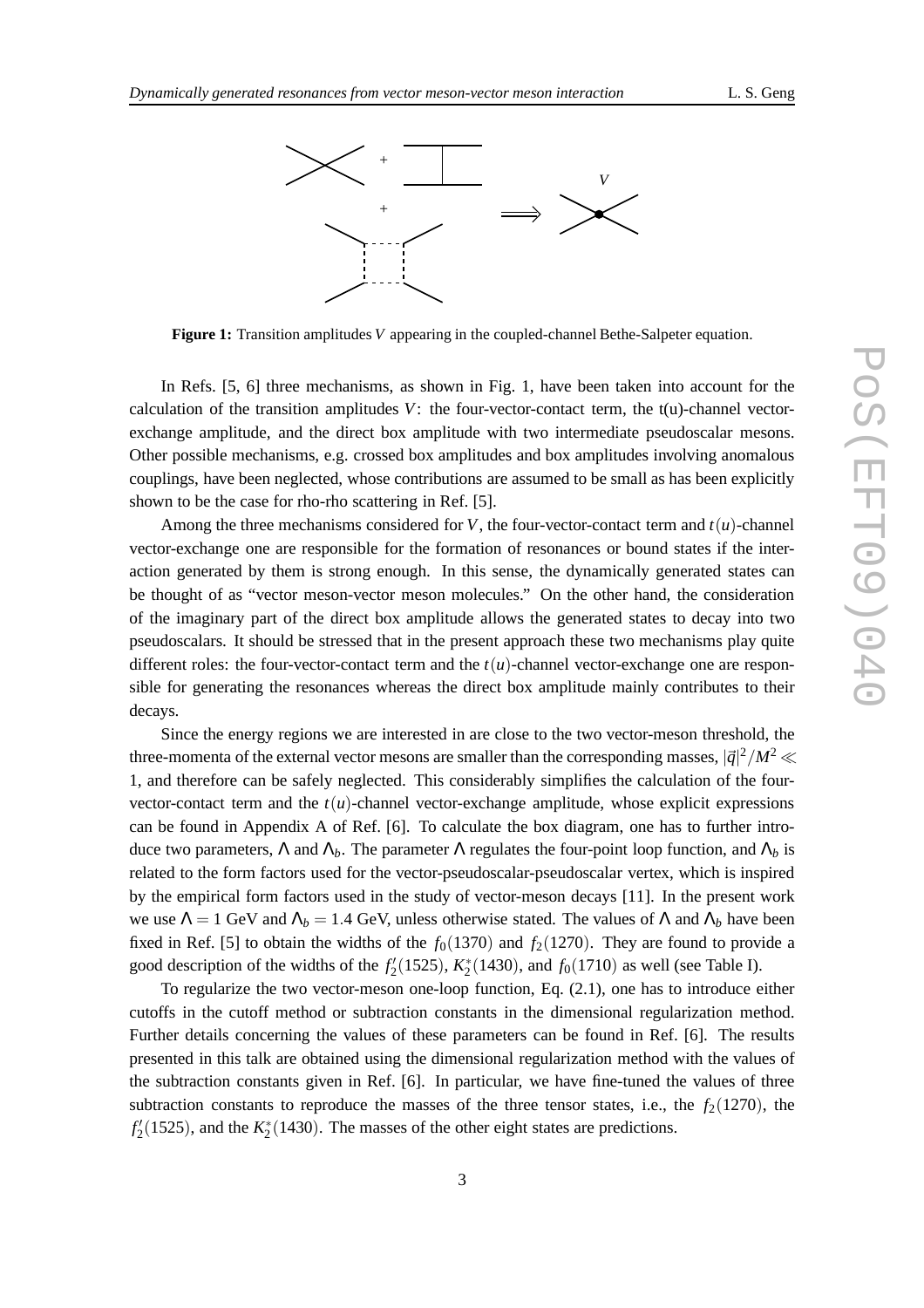

**Figure 1:** Transition amplitudes *V* appearing in the coupled-channel Bethe-Salpeter equation.

In Refs. [5, 6] three mechanisms, as shown in Fig. 1, have been taken into account for the calculation of the transition amplitudes *V*: the four-vector-contact term, the t(u)-channel vectorexchange amplitude, and the direct box amplitude with two intermediate pseudoscalar mesons. Other possible mechanisms, e.g. crossed box amplitudes and box amplitudes involving anomalous couplings, have been neglected, whose contributions are assumed to be small as has been explicitly shown to be the case for rho-rho scattering in Ref. [5].

Among the three mechanisms considered for *V*, the four-vector-contact term and  $t(u)$ -channel vector-exchange one are responsible for the formation of resonances or bound states if the interaction generated by them is strong enough. In this sense, the dynamically generated states can be thought of as "vector meson-vector meson molecules." On the other hand, the consideration of the imaginary part of the direct box amplitude allows the generated states to decay into two pseudoscalars. It should be stressed that in the present approach these two mechanisms play quite different roles: the four-vector-contact term and the  $t(u)$ -channel vector-exchange one are responsible for generating the resonances whereas the direct box amplitude mainly contributes to their decays.

Since the energy regions we are interested in are close to the two vector-meson threshold, the three-momenta of the external vector mesons are smaller than the corresponding masses,  $|\vec{q}|^2/M^2$  ≪ 1, and therefore can be safely neglected. This considerably simplifies the calculation of the fourvector-contact term and the  $t(u)$ -channel vector-exchange amplitude, whose explicit expressions can be found in Appendix A of Ref. [6]. To calculate the box diagram, one has to further introduce two parameters,  $\Lambda$  and  $\Lambda_b$ . The parameter  $\Lambda$  regulates the four-point loop function, and  $\Lambda_b$  is related to the form factors used for the vector-pseudoscalar-pseudoscalar vertex, which is inspired by the empirical form factors used in the study of vector-meson decays [11]. In the present work we use  $\Lambda = 1$  GeV and  $\Lambda_b = 1.4$  GeV, unless otherwise stated. The values of  $\Lambda$  and  $\Lambda_b$  have been fixed in Ref. [5] to obtain the widths of the  $f_0(1370)$  and  $f_2(1270)$ . They are found to provide a good description of the widths of the  $f'_{2}(1525)$ ,  $K_{2}^{*}(1430)$ , and  $f_{0}(1710)$  as well (see Table I).

To regularize the two vector-meson one-loop function, Eq. (2.1), one has to introduce either cutoffs in the cutoff method or subtraction constants in the dimensional regularization method. Further details concerning the values of these parameters can be found in Ref. [6]. The results presented in this talk are obtained using the dimensional regularization method with the values of the subtraction constants given in Ref. [6]. In particular, we have fine-tuned the values of three subtraction constants to reproduce the masses of the three tensor states, i.e., the  $f_2(1270)$ , the  $f'_{2}(1525)$ , and the  $K_{2}^{*}(1430)$ . The masses of the other eight states are predictions.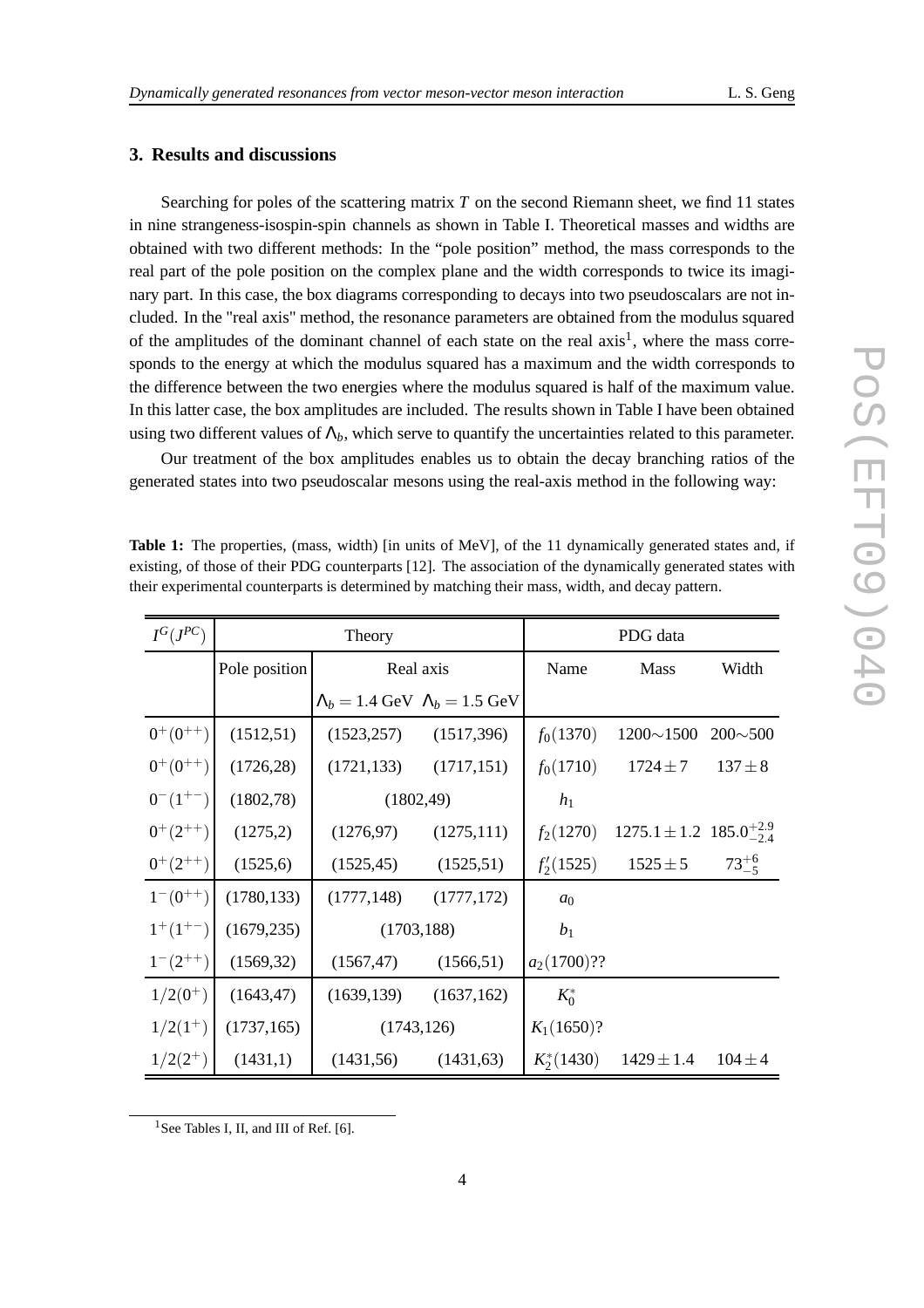#### **3. Results and discussions**

Searching for poles of the scattering matrix *T* on the second Riemann sheet, we find 11 states in nine strangeness-isospin-spin channels as shown in Table I. Theoretical masses and widths are obtained with two different methods: In the "pole position" method, the mass corresponds to the real part of the pole position on the complex plane and the width corresponds to twice its imaginary part. In this case, the box diagrams corresponding to decays into two pseudoscalars are not included. In the "real axis" method, the resonance parameters are obtained from the modulus squared of the amplitudes of the dominant channel of each state on the real  $axis<sup>1</sup>$ , where the mass corresponds to the energy at which the modulus squared has a maximum and the width corresponds to the difference between the two energies where the modulus squared is half of the maximum value. In this latter case, the box amplitudes are included. The results shown in Table I have been obtained using two different values of  $\Lambda_h$ , which serve to quantify the uncertainties related to this parameter.

Our treatment of the box amplitudes enables us to obtain the decay branching ratios of the generated states into two pseudoscalar mesons using the real-axis method in the following way:

| $I^G(J^{PC})$   |               | Theory                                      | PDG data    |                |                                        |                |
|-----------------|---------------|---------------------------------------------|-------------|----------------|----------------------------------------|----------------|
|                 | Pole position | Real axis                                   |             | Name           | <b>Mass</b>                            | Width          |
|                 |               | $\Lambda_b = 1.4$ GeV $\Lambda_b = 1.5$ GeV |             |                |                                        |                |
| $0^{+}(0^{++})$ | (1512,51)     | (1523, 257)                                 | (1517, 396) | $f_0(1370)$    | $1200 \sim 1500$                       | $200 \sim 500$ |
| $0^{+}(0^{++})$ | (1726, 28)    | (1721, 133)                                 | (1717,151)  | $f_0(1710)$    | $1724 \pm 7$                           | $137 \pm 8$    |
| $0^{-}(1^{+-})$ | (1802,78)     | (1802, 49)                                  |             | $h_1$          |                                        |                |
| $0^+(2^{++})$   | (1275,2)      | (1276, 97)                                  | (1275,111)  | $f_2(1270)$    | $1275.1 \pm 1.2$ $185.0^{+2.9}_{-2.4}$ |                |
| $0^+(2^{++})$   | (1525,6)      | (1525, 45)                                  | (1525,51)   | $f'_{2}(1525)$ | $1525 \pm 5$                           | $73^{+6}_{-5}$ |
| $1^-(0^{++})$   | (1780, 133)   | $(1777, 148)$ $(1777, 172)$                 |             | $a_0$          |                                        |                |
| $1^+(1^{+-})$   | (1679, 235)   | (1703, 188)                                 |             | $b_1$          |                                        |                |
| $1^-(2^{++})$   | (1569,32)     | (1567, 47)                                  | (1566, 51)  | $a_2(1700)$ ?? |                                        |                |
| $1/2(0^+)$      | (1643, 47)    | (1639, 139)                                 | (1637, 162) | $K_0^*$        |                                        |                |
| $1/2(1^+)$      | (1737, 165)   | (1743, 126)                                 |             | $K_1(1650)?$   |                                        |                |
| $1/2(2^+)$      | (1431,1)      | $(1431,56)$ $(1431,63)$                     |             | $K_2^*(1430)$  | $1429 \pm 1.4$                         | $104 \pm 4$    |

**Table 1:** The properties, (mass, width) [in units of MeV], of the 11 dynamically generated states and, if existing, of those of their PDG counterparts [12]. The association of the dynamically generated states with their experimental counterparts is determined by matching their mass, width, and decay pattern.

<sup>&</sup>lt;sup>1</sup>See Tables I, II, and III of Ref. [6].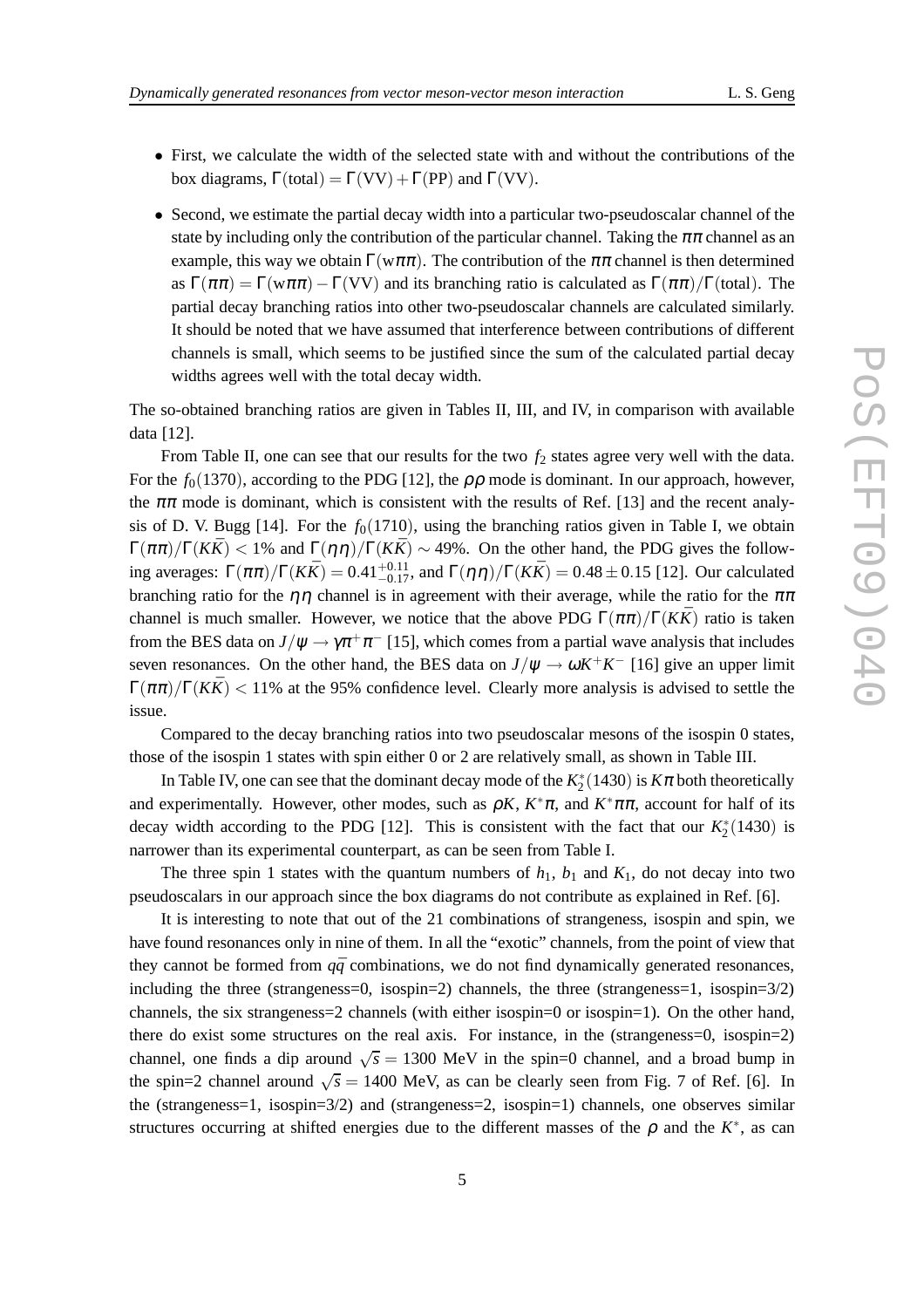- 
- First, we calculate the width of the selected state with and without the contributions of the box diagrams,  $\Gamma$ (total) =  $\Gamma$ (VV) +  $\Gamma$ (PP) and  $\Gamma$ (VV).
- Second, we estimate the partial decay width into a particular two-pseudoscalar channel of the state by including only the contribution of the particular channel. Taking the  $\pi\pi$  channel as an example, this way we obtain  $\Gamma(w\pi\pi)$ . The contribution of the  $\pi\pi$  channel is then determined as  $\Gamma(\pi \pi) = \Gamma(w \pi \pi) - \Gamma(VV)$  and its branching ratio is calculated as  $\Gamma(\pi \pi) / \Gamma(\text{total})$ . The partial decay branching ratios into other two-pseudoscalar channels are calculated similarly. It should be noted that we have assumed that interference between contributions of different channels is small, which seems to be justified since the sum of the calculated partial decay widths agrees well with the total decay width.

The so-obtained branching ratios are given in Tables II, III, and IV, in comparison with available data [12].

From Table II, one can see that our results for the two  $f_2$  states agree very well with the data. For the  $f_0(1370)$ , according to the PDG [12], the  $\rho \rho$  mode is dominant. In our approach, however, the  $\pi\pi$  mode is dominant, which is consistent with the results of Ref. [13] and the recent analysis of D. V. Bugg [14]. For the  $f_0(1710)$ , using the branching ratios given in Table I, we obtain  $\Gamma(\pi\pi)/\Gamma(KK)$  < 1% and  $\Gamma(\eta\eta)/\Gamma(KK) \sim 49\%$ . On the other hand, the PDG gives the following averages:  $\Gamma(\pi \pi)/\Gamma(K\bar{K}) = 0.41^{+0.11}_{-0.17}$ , and  $\Gamma(\eta \eta)/\Gamma(K\bar{K}) = 0.48 \pm 0.15$  [12]. Our calculated branching ratio for the  $\eta\eta$  channel is in agreement with their average, while the ratio for the  $\pi\pi$ channel is much smaller. However, we notice that the above PDG  $\Gamma(\pi \pi)/\Gamma(K\bar{K})$  ratio is taken from the BES data on  $J/\psi \to \gamma \pi^+ \pi^-$  [15], which comes from a partial wave analysis that includes seven resonances. On the other hand, the BES data on  $J/\psi \to \omega K^+ K^-$  [16] give an upper limit  $\Gamma(\pi\pi)/\Gamma(K\bar{K})$  < 11% at the 95% confidence level. Clearly more analysis is advised to settle the issue.

Compared to the decay branching ratios into two pseudoscalar mesons of the isospin 0 states, those of the isospin 1 states with spin either 0 or 2 are relatively small, as shown in Table III.

In Table IV, one can see that the dominant decay mode of the  $K_2^*(1430)$  is  $K\pi$  both theoretically and experimentally. However, other modes, such as  $\rho K$ ,  $K^* \pi$ , and  $K^* \pi \pi$ , account for half of its decay width according to the PDG [12]. This is consistent with the fact that our  $K_2^*(1430)$  is narrower than its experimental counterpart, as can be seen from Table I.

The three spin 1 states with the quantum numbers of  $h_1$ ,  $b_1$  and  $K_1$ , do not decay into two pseudoscalars in our approach since the box diagrams do not contribute as explained in Ref. [6].

It is interesting to note that out of the 21 combinations of strangeness, isospin and spin, we have found resonances only in nine of them. In all the "exotic" channels, from the point of view that they cannot be formed from  $q\bar{q}$  combinations, we do not find dynamically generated resonances, including the three (strangeness=0, isospin=2) channels, the three (strangeness=1, isospin=3/2) channels, the six strangeness=2 channels (with either isospin=0 or isospin=1). On the other hand, there do exist some structures on the real axis. For instance, in the (strangeness=0, isospin=2) channel, one finds a dip around  $\sqrt{s} = 1300$  MeV in the spin=0 channel, and a broad bump in the spin=2 channel around  $\sqrt{s} = 1400$  MeV, as can be clearly seen from Fig. 7 of Ref. [6]. In the (strangeness=1, isospin=3/2) and (strangeness=2, isospin=1) channels, one observes similar structures occurring at shifted energies due to the different masses of the  $\rho$  and the  $K^*$ , as can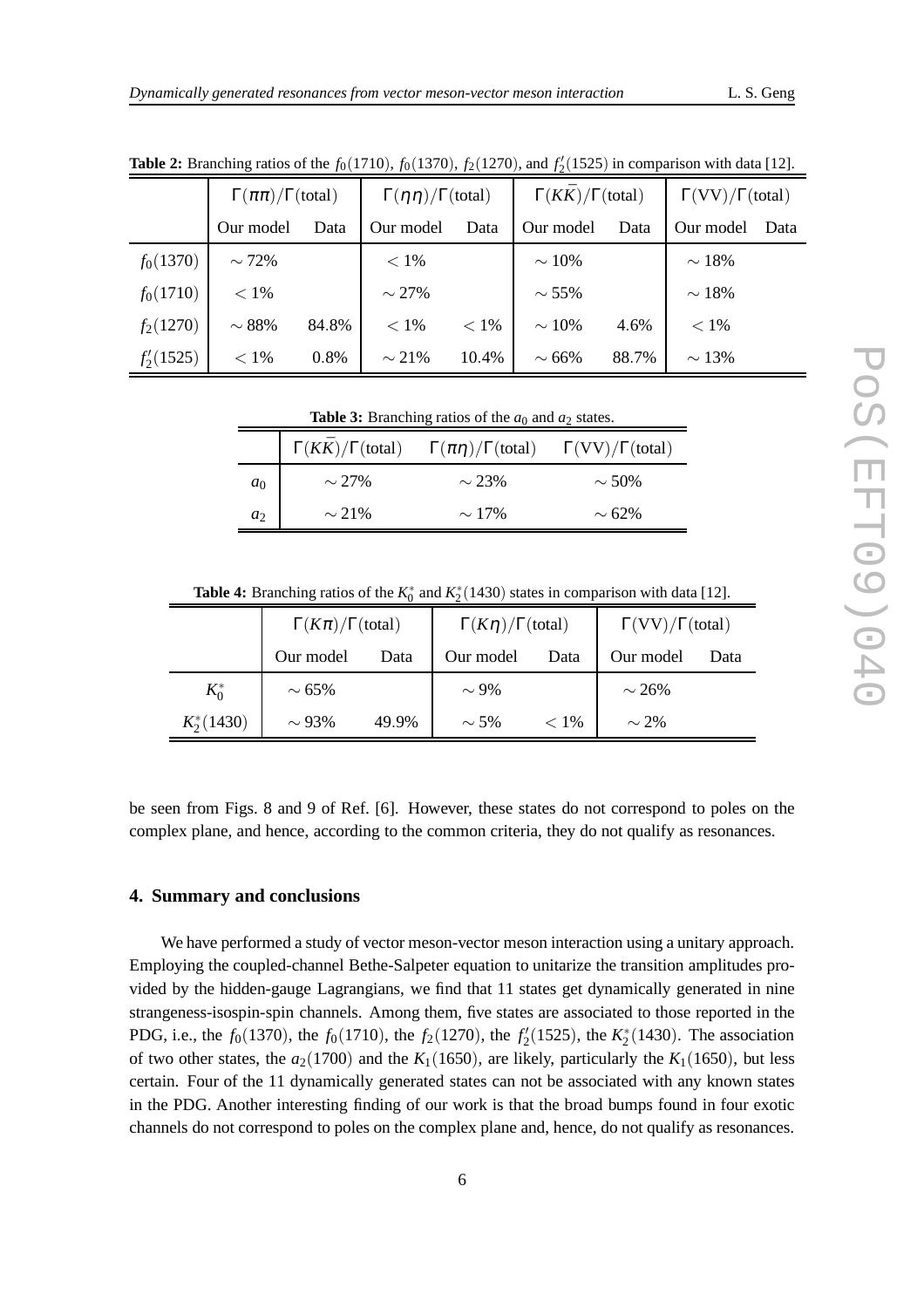|  | S. Geng |
|--|---------|
|  |         |

|              | $\Gamma(\pi\pi)/\Gamma(\text{total})$ |       | $\Gamma(\eta \eta)/\Gamma(\text{total})$ |         | $\Gamma(K\bar K)/\Gamma({\rm total})$ |       | $\Gamma(VV)/\Gamma(total)$ |      |
|--------------|---------------------------------------|-------|------------------------------------------|---------|---------------------------------------|-------|----------------------------|------|
|              | Our model                             | Data  | Our model                                | Data    | Our model                             | Data  | Our model                  | Data |
| $f_0(1370)$  | $\sim$ 72%                            |       | $< 1\%$                                  |         | $\sim 10\%$                           |       | $\sim$ 18%                 |      |
| $f_0(1710)$  | $< 1\%$                               |       | $\sim$ 27%                               |         | $\sim$ 55%                            |       | $\sim$ 18%                 |      |
| $f_2(1270)$  | $\sim$ 88%                            | 84.8% | $< 1\%$                                  | $< 1\%$ | $\sim 10\%$                           | 4.6%  | $< 1\%$                    |      |
| $f'_2(1525)$ | $< 1\%$                               | 0.8%  | $\sim$ 21%                               | 10.4%   | $\sim 66\%$                           | 88.7% | $\sim$ 13%                 |      |

**Table 2:** Branching ratios of the  $f_0(1710)$ ,  $f_0(1370)$ ,  $f_2(1270)$ , and  $f'_2(1525)$  in comparison with data [12].

| <b>Table 3:</b> Branching ratios of the $a_0$ and $a_2$ states. |  |
|-----------------------------------------------------------------|--|
|-----------------------------------------------------------------|--|

|       |            | $\Gamma(K\bar{K})/\Gamma(\text{total})$ $\Gamma(\pi\eta)/\Gamma(\text{total})$ $\Gamma(VV)/\Gamma(\text{total})$ |             |
|-------|------------|------------------------------------------------------------------------------------------------------------------|-------------|
| $a_0$ | $\sim$ 27% | $\sim$ 23%                                                                                                       | $\sim$ 50%  |
| $a_2$ | $\sim$ 21% | $\sim$ 17%                                                                                                       | $\sim 62\%$ |

**Table 4:** Branching ratios of the  $K_0^*$  and  $K_2^*(1430)$  states in comparison with data [12].

|               | $\Gamma(K\pi)/\Gamma(\text{total})$ |       | $\Gamma(K\eta)/\Gamma(\text{total})$ |         | $\Gamma(VV)/\Gamma(total)$ |      |
|---------------|-------------------------------------|-------|--------------------------------------|---------|----------------------------|------|
|               | Our model                           | Data  | Our model                            | Data    | Our model                  | Data |
| $K_0^*$       | $\sim 65\%$                         |       | $\sim$ 9%                            |         | $\sim$ 26%                 |      |
| $K_2^*(1430)$ | $\sim$ 93%                          | 49.9% | $\sim$ 5%                            | $< 1\%$ | $\sim$ 2%                  |      |

be seen from Figs. 8 and 9 of Ref. [6]. However, these states do not correspond to poles on the complex plane, and hence, according to the common criteria, they do not qualify as resonances.

#### **4. Summary and conclusions**

We have performed a study of vector meson-vector meson interaction using a unitary approach. Employing the coupled-channel Bethe-Salpeter equation to unitarize the transition amplitudes provided by the hidden-gauge Lagrangians, we find that 11 states get dynamically generated in nine strangeness-isospin-spin channels. Among them, five states are associated to those reported in the PDG, i.e., the  $f_0(1370)$ , the  $f_0(1710)$ , the  $f_2(1270)$ , the  $f_2'(1525)$ , the  $K_2^*(1430)$ . The association of two other states, the  $a_2(1700)$  and the  $K_1(1650)$ , are likely, particularly the  $K_1(1650)$ , but less certain. Four of the 11 dynamically generated states can not be associated with any known states in the PDG. Another interesting finding of our work is that the broad bumps found in four exotic channels do not correspond to poles on the complex plane and, hence, do not qualify as resonances.